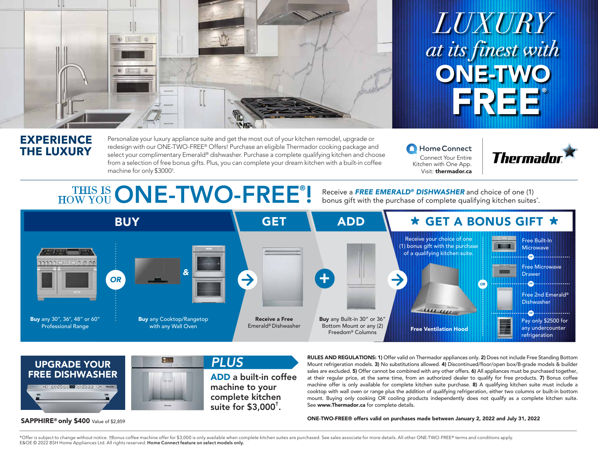

# *LUXURY at its finest with* ONE-TWO FREE®

### **EXPERIENCE THE LUXURY**

SAPPHIRE<sup>®</sup> only \$400 Value of \$2,859

Personalize your luxury appliance suite and get the most out of your kitchen remodel, upgrade or redesign with our ONE-TWO-FREE® Offers! Purchase an eligible Thermador cooking package and select your complimentary Emerald® dishwasher. Purchase a complete qualifying kitchen and choose from a selection of free bonus gifts. Plus, you can complete your dream kitchen with a built-in coffee machine for only \$3000† .

Home Connect Connect Your Entire Kitchen with One App. Visit: thermador.ca



## **HOW YOU ONE-TWO-FREE®!**

Receive a *FREE EMERALD® DISHWASHER* and choice of one (1) bonus gift with the purchase of complete qualifying kitchen suites\* .





RULES AND REGULATIONS: 1) Offer valid on Thermador appliances only. 2) Does not include Free Standing Bottom Mount refrigeration models. 3) No substitutions allowed. 4) Discontinued/floor/open box/B-grade models & builder sales are excluded. 5) Offer cannot be combined with any other offers. 6) All appliances must be purchased together, at their regular price, at the same time, from an authorized dealer to qualify for free products. 7) Bonus coffee machine offer is only available for complete kitchen suite purchase. 8) A qualifying kitchen suite must include a cooktop with wall oven or range plus the addition of qualifying refrigeration, either two columns or built-in bottom mount. Buying only cooking OR cooling products independently does not qualify as a complete kitchen suite. See www.Thermador.ca for complete details.

ONE-TWO-FREE® offers valid on purchases made between January 2, 2022 and July 31, 2022

\*Offer is subject to change without notice. †Bonus coffee machine offer for \$3,000 is only available when complete kitchen suites are purchased. See sales associate for more details. All other ONE-TWO-FREE® terms and condi E&OE © 2022 BSH Home Appliances Ltd. All rights reserved. **Home Connect feature on select models only.**